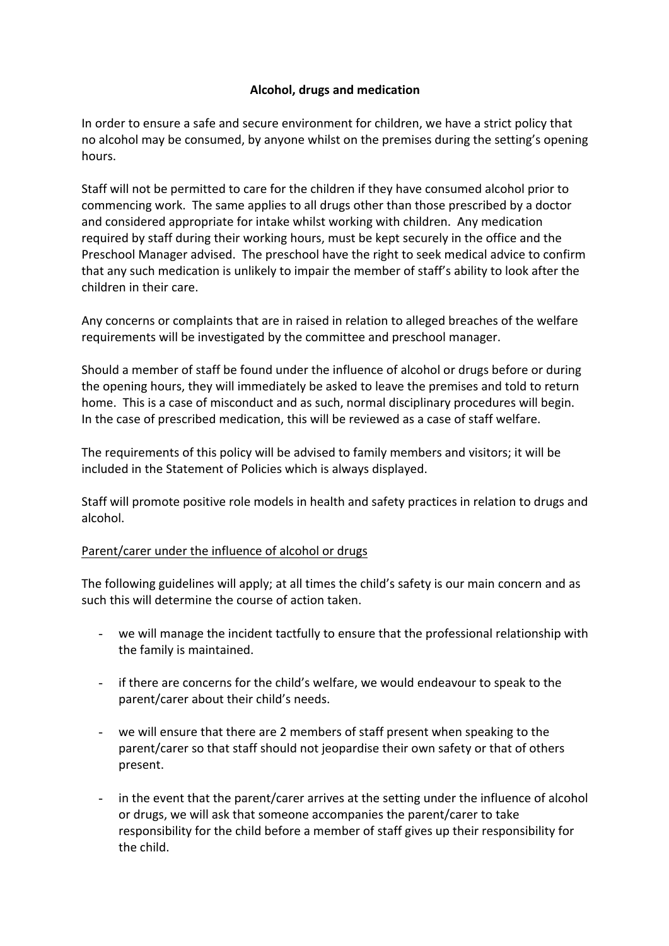## **Alcohol, drugs and medication**

In order to ensure a safe and secure environment for children, we have a strict policy that no alcohol may be consumed, by anyone whilst on the premises during the setting's opening hours.

Staff will not be permitted to care for the children if they have consumed alcohol prior to commencing work. The same applies to all drugs other than those prescribed by a doctor and considered appropriate for intake whilst working with children. Any medication required by staff during their working hours, must be kept securely in the office and the Preschool Manager advised. The preschool have the right to seek medical advice to confirm that any such medication is unlikely to impair the member of staff's ability to look after the children in their care.

Any concerns or complaints that are in raised in relation to alleged breaches of the welfare requirements will be investigated by the committee and preschool manager.

Should a member of staff be found under the influence of alcohol or drugs before or during the opening hours, they will immediately be asked to leave the premises and told to return home. This is a case of misconduct and as such, normal disciplinary procedures will begin. In the case of prescribed medication, this will be reviewed as a case of staff welfare.

The requirements of this policy will be advised to family members and visitors; it will be included in the Statement of Policies which is always displayed.

Staff will promote positive role models in health and safety practices in relation to drugs and alcohol. 

## Parent/carer under the influence of alcohol or drugs

The following guidelines will apply; at all times the child's safety is our main concern and as such this will determine the course of action taken.

- we will manage the incident tactfully to ensure that the professional relationship with the family is maintained.
- if there are concerns for the child's welfare, we would endeavour to speak to the parent/carer about their child's needs.
- we will ensure that there are 2 members of staff present when speaking to the parent/carer so that staff should not jeopardise their own safety or that of others present.
- in the event that the parent/carer arrives at the setting under the influence of alcohol or drugs, we will ask that someone accompanies the parent/carer to take responsibility for the child before a member of staff gives up their responsibility for the child.